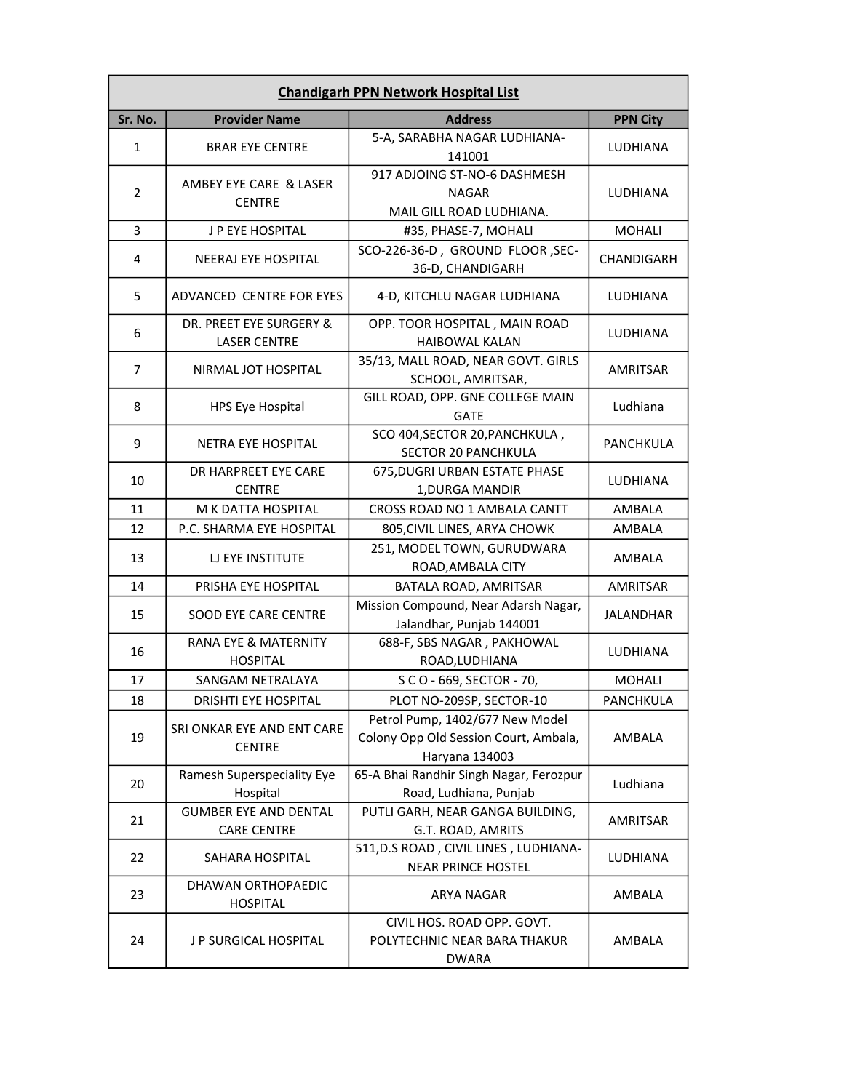| <b>Chandigarh PPN Network Hospital List</b> |                                                    |                                                                                            |                  |
|---------------------------------------------|----------------------------------------------------|--------------------------------------------------------------------------------------------|------------------|
| Sr. No.                                     | <b>Provider Name</b>                               | <b>Address</b>                                                                             | <b>PPN City</b>  |
| $\mathbf{1}$                                | <b>BRAR EYE CENTRE</b>                             | 5-A, SARABHA NAGAR LUDHIANA-<br>141001                                                     | LUDHIANA         |
| $\overline{2}$                              | AMBEY EYE CARE & LASER<br><b>CENTRE</b>            | 917 ADJOING ST-NO-6 DASHMESH<br><b>NAGAR</b><br>MAIL GILL ROAD LUDHIANA.                   | LUDHIANA         |
| 3                                           | J P EYE HOSPITAL                                   | #35, PHASE-7, MOHALI                                                                       | <b>MOHALI</b>    |
| 4                                           | <b>NEERAJ EYE HOSPITAL</b>                         | SCO-226-36-D, GROUND FLOOR, SEC-<br>36-D, CHANDIGARH                                       | CHANDIGARH       |
| 5                                           | ADVANCED CENTRE FOR EYES                           | 4-D, KITCHLU NAGAR LUDHIANA                                                                | <b>LUDHIANA</b>  |
| 6                                           | DR. PREET EYE SURGERY &<br><b>LASER CENTRE</b>     | OPP. TOOR HOSPITAL, MAIN ROAD<br><b>HAIBOWAL KALAN</b>                                     | LUDHIANA         |
| 7                                           | NIRMAL JOT HOSPITAL                                | 35/13, MALL ROAD, NEAR GOVT. GIRLS<br>SCHOOL, AMRITSAR,                                    | AMRITSAR         |
| 8                                           | <b>HPS Eye Hospital</b>                            | GILL ROAD, OPP. GNE COLLEGE MAIN<br><b>GATE</b>                                            | Ludhiana         |
| 9                                           | <b>NETRA EYE HOSPITAL</b>                          | SCO 404, SECTOR 20, PANCHKULA,<br>SECTOR 20 PANCHKULA                                      | PANCHKULA        |
| 10                                          | DR HARPREET EYE CARE<br><b>CENTRE</b>              | 675, DUGRI URBAN ESTATE PHASE<br>1, DURGA MANDIR                                           | LUDHIANA         |
| 11                                          | M K DATTA HOSPITAL                                 | CROSS ROAD NO 1 AMBALA CANTT                                                               | AMBALA           |
| 12                                          | P.C. SHARMA EYE HOSPITAL                           | 805, CIVIL LINES, ARYA CHOWK                                                               | AMBALA           |
| 13                                          | <b>LI EYE INSTITUTE</b>                            | 251, MODEL TOWN, GURUDWARA<br>ROAD, AMBALA CITY                                            | AMBALA           |
| 14                                          | PRISHA EYE HOSPITAL                                | BATALA ROAD, AMRITSAR                                                                      | <b>AMRITSAR</b>  |
| 15                                          | <b>SOOD EYE CARE CENTRE</b>                        | Mission Compound, Near Adarsh Nagar,<br>Jalandhar, Punjab 144001                           | <b>JALANDHAR</b> |
| 16                                          | RANA EYE & MATERNITY<br><b>HOSPITAL</b>            | 688-F, SBS NAGAR, PAKHOWAL<br>ROAD, LUDHIANA                                               | LUDHIANA         |
| 17                                          | SANGAM NETRALAYA                                   | S C O - 669, SECTOR - 70,                                                                  | <b>MOHALI</b>    |
| 18                                          | DRISHTI EYE HOSPITAL                               | PLOT NO-209SP, SECTOR-10                                                                   | PANCHKULA        |
| 19                                          | SRI ONKAR EYE AND ENT CARE<br><b>CENTRE</b>        | Petrol Pump, 1402/677 New Model<br>Colony Opp Old Session Court, Ambala,<br>Haryana 134003 | AMBALA           |
| 20                                          | Ramesh Superspeciality Eye<br>Hospital             | 65-A Bhai Randhir Singh Nagar, Ferozpur<br>Road, Ludhiana, Punjab                          | Ludhiana         |
| 21                                          | <b>GUMBER EYE AND DENTAL</b><br><b>CARE CENTRE</b> | PUTLI GARH, NEAR GANGA BUILDING,<br>G.T. ROAD, AMRITS                                      | AMRITSAR         |
| 22                                          | SAHARA HOSPITAL                                    | 511, D.S ROAD, CIVIL LINES, LUDHIANA-<br><b>NEAR PRINCE HOSTEL</b>                         | LUDHIANA         |
| 23                                          | DHAWAN ORTHOPAEDIC<br><b>HOSPITAL</b>              | ARYA NAGAR                                                                                 | AMBALA           |
| 24                                          | <b>JP SURGICAL HOSPITAL</b>                        | CIVIL HOS. ROAD OPP. GOVT.<br>POLYTECHNIC NEAR BARA THAKUR<br><b>DWARA</b>                 | AMBALA           |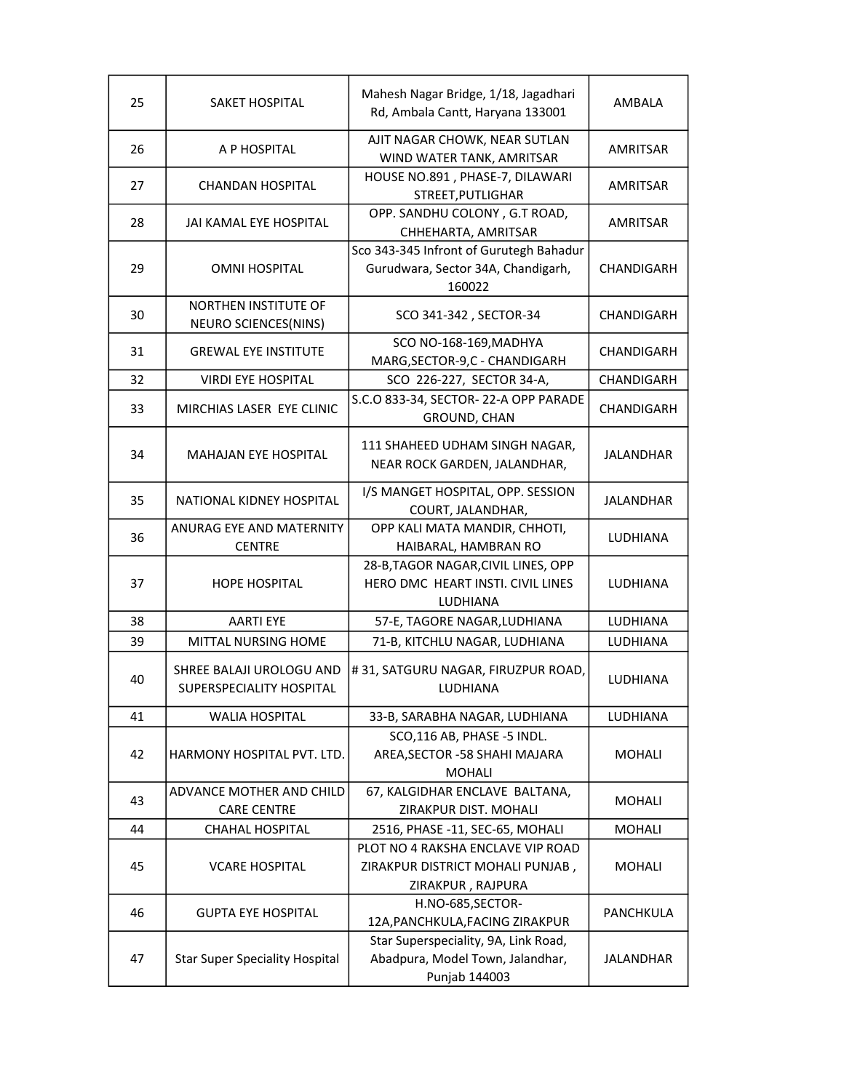| 25 | <b>SAKET HOSPITAL</b>                                | Mahesh Nagar Bridge, 1/18, Jagadhari<br>Rd, Ambala Cantt, Haryana 133001                  | AMBALA           |
|----|------------------------------------------------------|-------------------------------------------------------------------------------------------|------------------|
| 26 | A P HOSPITAL                                         | AJIT NAGAR CHOWK, NEAR SUTLAN<br>WIND WATER TANK, AMRITSAR                                | AMRITSAR         |
| 27 | CHANDAN HOSPITAL                                     | HOUSE NO.891, PHASE-7, DILAWARI<br>STREET, PUTLIGHAR                                      | AMRITSAR         |
| 28 | JAI KAMAL EYE HOSPITAL                               | OPP. SANDHU COLONY, G.T ROAD,<br>CHHEHARTA, AMRITSAR                                      | AMRITSAR         |
| 29 | <b>OMNI HOSPITAL</b>                                 | Sco 343-345 Infront of Gurutegh Bahadur<br>Gurudwara, Sector 34A, Chandigarh,<br>160022   | CHANDIGARH       |
| 30 | <b>NORTHEN INSTITUTE OF</b><br>NEURO SCIENCES(NINS)  | SCO 341-342, SECTOR-34                                                                    | CHANDIGARH       |
| 31 | <b>GREWAL EYE INSTITUTE</b>                          | SCO NO-168-169, MADHYA<br>MARG, SECTOR-9, C - CHANDIGARH                                  | CHANDIGARH       |
| 32 | <b>VIRDI EYE HOSPITAL</b>                            | SCO 226-227, SECTOR 34-A,                                                                 | CHANDIGARH       |
| 33 | MIRCHIAS LASER EYE CLINIC                            | S.C.O 833-34, SECTOR-22-A OPP PARADE<br>GROUND, CHAN                                      | CHANDIGARH       |
| 34 | <b>MAHAJAN EYE HOSPITAL</b>                          | 111 SHAHEED UDHAM SINGH NAGAR,<br>NEAR ROCK GARDEN, JALANDHAR,                            | <b>JALANDHAR</b> |
| 35 | NATIONAL KIDNEY HOSPITAL                             | I/S MANGET HOSPITAL, OPP. SESSION<br>COURT, JALANDHAR,                                    | JALANDHAR        |
| 36 | ANURAG EYE AND MATERNITY<br><b>CENTRE</b>            | OPP KALI MATA MANDIR, CHHOTI,<br>HAIBARAL, HAMBRAN RO                                     | LUDHIANA         |
| 37 | <b>HOPE HOSPITAL</b>                                 | 28-B, TAGOR NAGAR, CIVIL LINES, OPP<br>HERO DMC HEART INSTI. CIVIL LINES<br>LUDHIANA      | LUDHIANA         |
| 38 | <b>AARTI EYE</b>                                     | 57-E, TAGORE NAGAR, LUDHIANA                                                              | <b>LUDHIANA</b>  |
| 39 | MITTAL NURSING HOME                                  | 71-B, KITCHLU NAGAR, LUDHIANA                                                             | LUDHIANA         |
| 40 | SHREE BALAJI UROLOGU AND<br>SUPERSPECIALITY HOSPITAL | #31, SATGURU NAGAR, FIRUZPUR ROAD,<br>LUDHIANA                                            | LUDHIANA         |
| 41 | <b>WALIA HOSPITAL</b>                                | 33-B, SARABHA NAGAR, LUDHIANA                                                             | LUDHIANA         |
| 42 | HARMONY HOSPITAL PVT. LTD.                           | SCO,116 AB, PHASE -5 INDL.<br>AREA, SECTOR - 58 SHAHI MAJARA<br><b>MOHALI</b>             | MOHALI           |
| 43 | ADVANCE MOTHER AND CHILD<br><b>CARE CENTRE</b>       | 67, KALGIDHAR ENCLAVE BALTANA,<br>ZIRAKPUR DIST. MOHALI                                   | <b>MOHALI</b>    |
| 44 | <b>CHAHAL HOSPITAL</b>                               | 2516, PHASE -11, SEC-65, MOHALI                                                           | <b>MOHALI</b>    |
|    |                                                      | PLOT NO 4 RAKSHA ENCLAVE VIP ROAD                                                         |                  |
| 45 | <b>VCARE HOSPITAL</b>                                | ZIRAKPUR DISTRICT MOHALI PUNJAB,<br>ZIRAKPUR, RAJPURA                                     | MOHALI           |
| 46 | <b>GUPTA EYE HOSPITAL</b>                            | H.NO-685, SECTOR-<br>12A, PANCHKULA, FACING ZIRAKPUR                                      | PANCHKULA        |
| 47 | <b>Star Super Speciality Hospital</b>                | Star Superspeciality, 9A, Link Road,<br>Abadpura, Model Town, Jalandhar,<br>Punjab 144003 | <b>JALANDHAR</b> |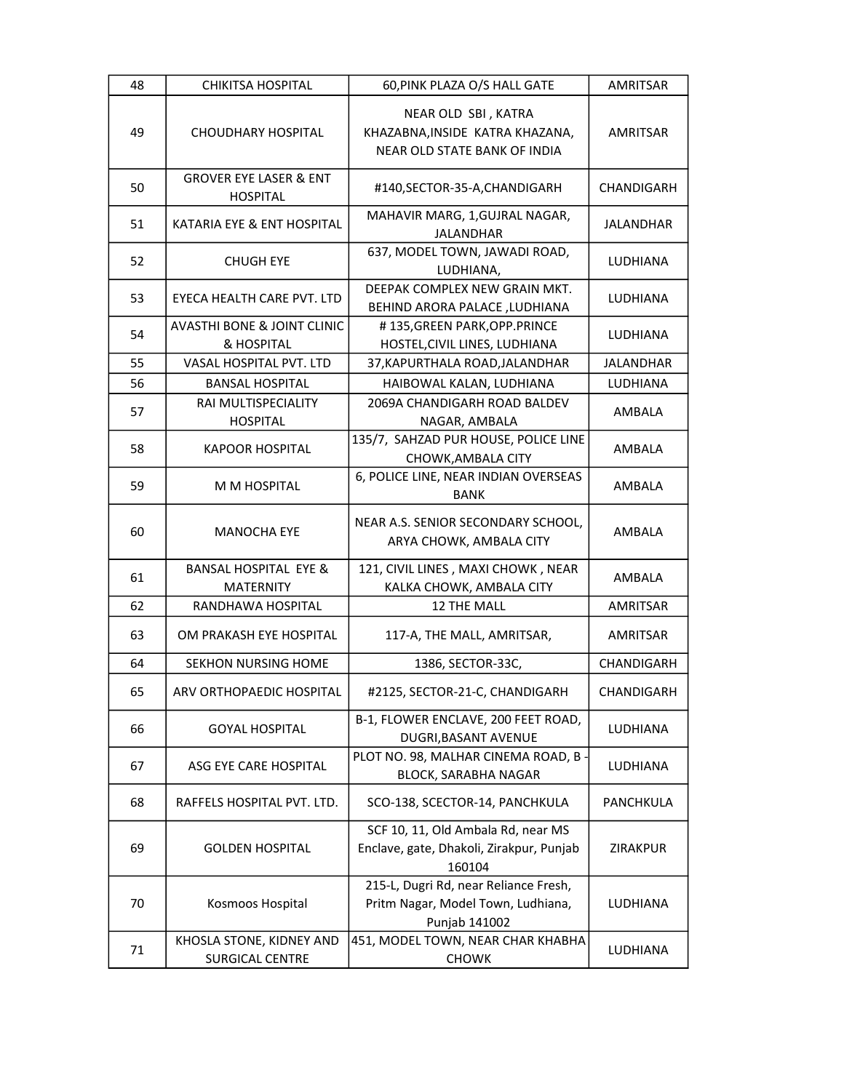| 48 | <b>CHIKITSA HOSPITAL</b>                             | 60, PINK PLAZA O/S HALL GATE                                                                 | <b>AMRITSAR</b>  |
|----|------------------------------------------------------|----------------------------------------------------------------------------------------------|------------------|
| 49 | <b>CHOUDHARY HOSPITAL</b>                            | NEAR OLD SBI, KATRA<br>KHAZABNA, INSIDE KATRA KHAZANA,<br>NEAR OLD STATE BANK OF INDIA       | AMRITSAR         |
| 50 | <b>GROVER EYE LASER &amp; ENT</b><br><b>HOSPITAL</b> | #140,SECTOR-35-A,CHANDIGARH                                                                  | CHANDIGARH       |
| 51 | KATARIA EYE & ENT HOSPITAL                           | MAHAVIR MARG, 1, GUJRAL NAGAR,<br><b>JALANDHAR</b>                                           | <b>JALANDHAR</b> |
| 52 | <b>CHUGH EYE</b>                                     | 637, MODEL TOWN, JAWADI ROAD,<br>LUDHIANA,                                                   | LUDHIANA         |
| 53 | EYECA HEALTH CARE PVT. LTD                           | DEEPAK COMPLEX NEW GRAIN MKT.<br>BEHIND ARORA PALACE , LUDHIANA                              | LUDHIANA         |
| 54 | <b>AVASTHI BONE &amp; JOINT CLINIC</b><br>& HOSPITAL | #135, GREEN PARK, OPP. PRINCE<br>HOSTEL, CIVIL LINES, LUDHIANA                               | LUDHIANA         |
| 55 | VASAL HOSPITAL PVT. LTD                              | 37, KAPURTHALA ROAD, JALANDHAR                                                               | <b>JALANDHAR</b> |
| 56 | <b>BANSAL HOSPITAL</b>                               | HAIBOWAL KALAN, LUDHIANA                                                                     | LUDHIANA         |
| 57 | RAI MULTISPECIALITY<br><b>HOSPITAL</b>               | 2069A CHANDIGARH ROAD BALDEV<br>NAGAR, AMBALA                                                | AMBALA           |
| 58 | <b>KAPOOR HOSPITAL</b>                               | 135/7, SAHZAD PUR HOUSE, POLICE LINE<br>CHOWK, AMBALA CITY                                   | AMBALA           |
| 59 | M M HOSPITAL                                         | 6, POLICE LINE, NEAR INDIAN OVERSEAS<br><b>BANK</b>                                          | AMBALA           |
| 60 | <b>MANOCHA EYE</b>                                   | NEAR A.S. SENIOR SECONDARY SCHOOL,<br>ARYA CHOWK, AMBALA CITY                                | AMBALA           |
| 61 | <b>BANSAL HOSPITAL EYE &amp;</b><br><b>MATERNITY</b> | 121, CIVIL LINES, MAXI CHOWK, NEAR<br>KALKA CHOWK, AMBALA CITY                               | AMBALA           |
| 62 | RANDHAWA HOSPITAL                                    | 12 THE MALL                                                                                  | <b>AMRITSAR</b>  |
| 63 | OM PRAKASH EYE HOSPITAL                              | 117-A, THE MALL, AMRITSAR,                                                                   | AMRITSAR         |
| 64 | <b>SEKHON NURSING HOME</b>                           | 1386, SECTOR-33C,                                                                            | CHANDIGARH       |
| 65 | ARV ORTHOPAEDIC HOSPITAL                             | #2125, SECTOR-21-C, CHANDIGARH                                                               | CHANDIGARH       |
| 66 | <b>GOYAL HOSPITAL</b>                                | B-1, FLOWER ENCLAVE, 200 FEET ROAD,<br>DUGRI, BASANT AVENUE                                  | LUDHIANA         |
| 67 | ASG EYE CARE HOSPITAL                                | PLOT NO. 98, MALHAR CINEMA ROAD, B<br><b>BLOCK, SARABHA NAGAR</b>                            | LUDHIANA         |
| 68 | RAFFELS HOSPITAL PVT. LTD.                           | SCO-138, SCECTOR-14, PANCHKULA                                                               | PANCHKULA        |
| 69 | <b>GOLDEN HOSPITAL</b>                               | SCF 10, 11, Old Ambala Rd, near MS<br>Enclave, gate, Dhakoli, Zirakpur, Punjab<br>160104     | <b>ZIRAKPUR</b>  |
| 70 | Kosmoos Hospital                                     | 215-L, Dugri Rd, near Reliance Fresh,<br>Pritm Nagar, Model Town, Ludhiana,<br>Punjab 141002 | LUDHIANA         |
| 71 | KHOSLA STONE, KIDNEY AND<br><b>SURGICAL CENTRE</b>   | 451, MODEL TOWN, NEAR CHAR KHABHA<br><b>CHOWK</b>                                            | LUDHIANA         |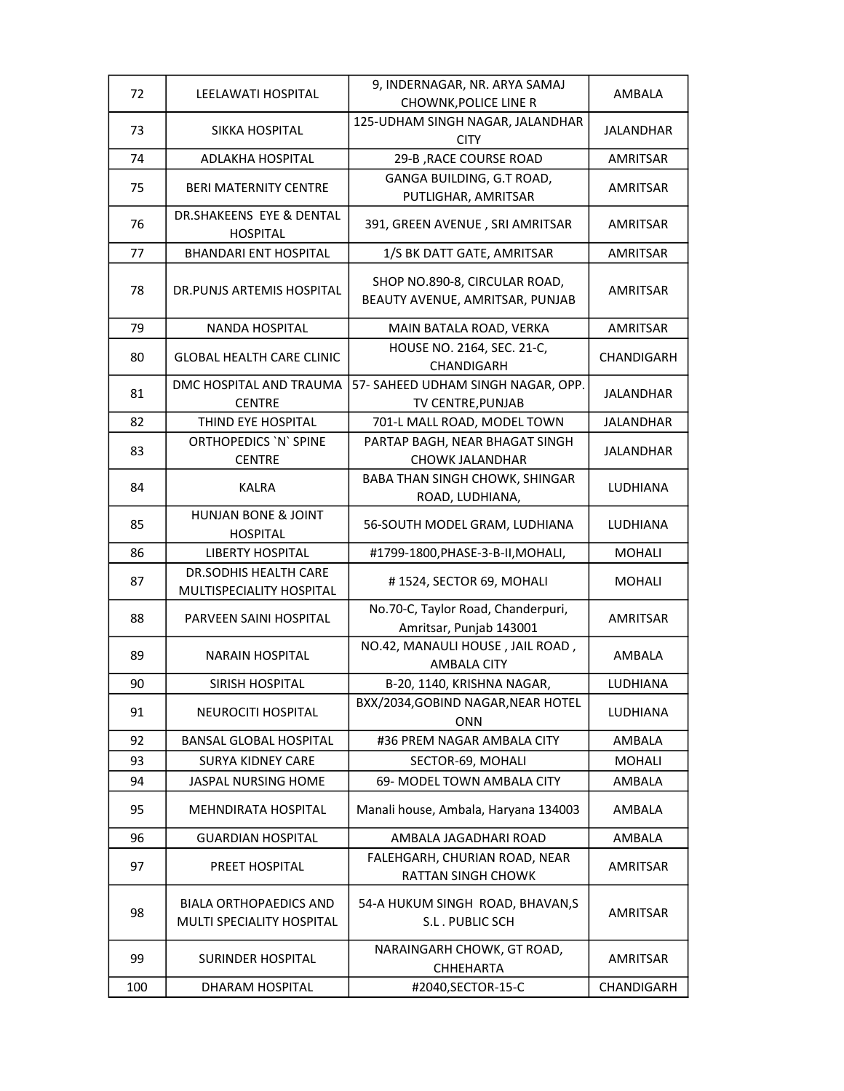| 72  | LEELAWATI HOSPITAL                                         | 9, INDERNAGAR, NR. ARYA SAMAJ<br><b>CHOWNK, POLICE LINE R</b>    | AMBALA           |
|-----|------------------------------------------------------------|------------------------------------------------------------------|------------------|
|     |                                                            | 125-UDHAM SINGH NAGAR, JALANDHAR                                 |                  |
| 73  | SIKKA HOSPITAL                                             | <b>CITY</b>                                                      | <b>JALANDHAR</b> |
| 74  | <b>ADLAKHA HOSPITAL</b>                                    | 29-B , RACE COURSE ROAD                                          | AMRITSAR         |
| 75  | <b>BERI MATERNITY CENTRE</b>                               | GANGA BUILDING, G.T ROAD,<br>PUTLIGHAR, AMRITSAR                 | AMRITSAR         |
| 76  | DR.SHAKEENS EYE & DENTAL<br><b>HOSPITAL</b>                | 391, GREEN AVENUE, SRI AMRITSAR                                  | AMRITSAR         |
| 77  | <b>BHANDARI ENT HOSPITAL</b>                               | 1/S BK DATT GATE, AMRITSAR                                       | AMRITSAR         |
| 78  | DR. PUNJS ARTEMIS HOSPITAL                                 | SHOP NO.890-8, CIRCULAR ROAD,<br>BEAUTY AVENUE, AMRITSAR, PUNJAB | AMRITSAR         |
| 79  | <b>NANDA HOSPITAL</b>                                      | MAIN BATALA ROAD, VERKA                                          | AMRITSAR         |
| 80  | <b>GLOBAL HEALTH CARE CLINIC</b>                           | HOUSE NO. 2164, SEC. 21-C,<br>CHANDIGARH                         | CHANDIGARH       |
| 81  | DMC HOSPITAL AND TRAUMA<br><b>CENTRE</b>                   | 57- SAHEED UDHAM SINGH NAGAR, OPP.<br>TV CENTRE, PUNJAB          | <b>JALANDHAR</b> |
| 82  | THIND EYE HOSPITAL                                         | 701-L MALL ROAD, MODEL TOWN                                      | <b>JALANDHAR</b> |
| 83  | ORTHOPEDICS 'N' SPINE<br><b>CENTRE</b>                     | PARTAP BAGH, NEAR BHAGAT SINGH<br><b>CHOWK JALANDHAR</b>         | <b>JALANDHAR</b> |
| 84  | <b>KALRA</b>                                               | <b>BABA THAN SINGH CHOWK, SHINGAR</b><br>ROAD, LUDHIANA,         | LUDHIANA         |
| 85  | HUNJAN BONE & JOINT<br><b>HOSPITAL</b>                     | 56-SOUTH MODEL GRAM, LUDHIANA                                    | LUDHIANA         |
| 86  | <b>LIBERTY HOSPITAL</b>                                    | #1799-1800, PHASE-3-B-II, MOHALI,                                | <b>MOHALI</b>    |
| 87  | DR.SODHIS HEALTH CARE<br>MULTISPECIALITY HOSPITAL          | #1524, SECTOR 69, MOHALI                                         | <b>MOHALI</b>    |
| 88  | PARVEEN SAINI HOSPITAL                                     | No.70-C, Taylor Road, Chanderpuri,<br>Amritsar, Punjab 143001    | <b>AMRITSAR</b>  |
| 89  | <b>NARAIN HOSPITAL</b>                                     | NO.42, MANAULI HOUSE, JAIL ROAD,<br><b>AMBALA CITY</b>           | AMBALA           |
| 90  | <b>SIRISH HOSPITAL</b>                                     | B-20, 1140, KRISHNA NAGAR,                                       | <b>LUDHIANA</b>  |
| 91  | <b>NEUROCITI HOSPITAL</b>                                  | BXX/2034, GOBIND NAGAR, NEAR HOTEL<br><b>ONN</b>                 | LUDHIANA         |
| 92  | <b>BANSAL GLOBAL HOSPITAL</b>                              | #36 PREM NAGAR AMBALA CITY                                       | AMBALA           |
| 93  | <b>SURYA KIDNEY CARE</b>                                   | SECTOR-69, MOHALI                                                | <b>MOHALI</b>    |
| 94  | JASPAL NURSING HOME                                        | 69- MODEL TOWN AMBALA CITY                                       | AMBALA           |
| 95  | <b>MEHNDIRATA HOSPITAL</b>                                 | Manali house, Ambala, Haryana 134003                             | AMBALA           |
| 96  | <b>GUARDIAN HOSPITAL</b>                                   | AMBALA JAGADHARI ROAD                                            | AMBALA           |
| 97  | PREET HOSPITAL                                             | FALEHGARH, CHURIAN ROAD, NEAR<br>RATTAN SINGH CHOWK              | AMRITSAR         |
| 98  | <b>BIALA ORTHOPAEDICS AND</b><br>MULTI SPECIALITY HOSPITAL | 54-A HUKUM SINGH ROAD, BHAVAN, S<br>S.L. PUBLIC SCH              | AMRITSAR         |
| 99  | <b>SURINDER HOSPITAL</b>                                   | NARAINGARH CHOWK, GT ROAD,<br>CHHEHARTA                          | AMRITSAR         |
| 100 | DHARAM HOSPITAL                                            | #2040, SECTOR-15-C                                               | CHANDIGARH       |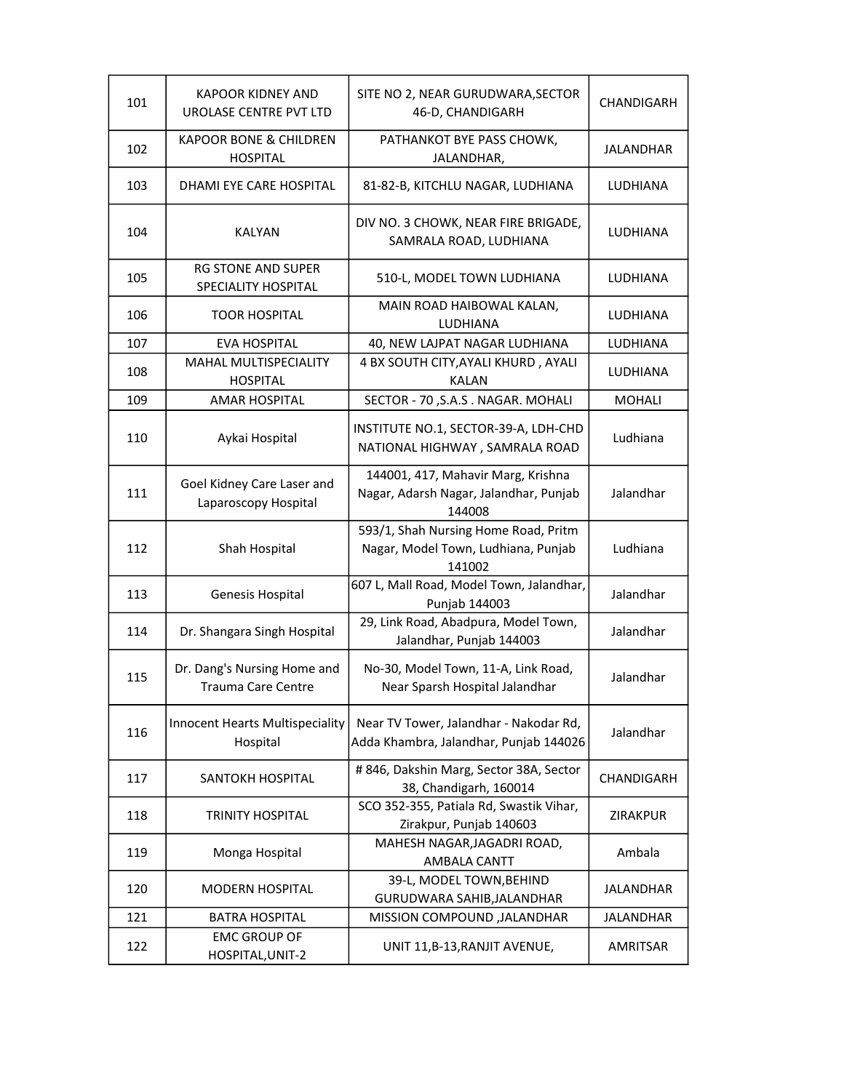| 101 | <b>KAPOOR KIDNEY AND</b><br>UROLASE CENTRE PVT LTD       | SITE NO 2, NEAR GURUDWARA, SECTOR<br>46-D, CHANDIGARH                                  | CHANDIGARH       |
|-----|----------------------------------------------------------|----------------------------------------------------------------------------------------|------------------|
| 102 | <b>KAPOOR BONE &amp; CHILDREN</b><br><b>HOSPITAL</b>     | PATHANKOT BYE PASS CHOWK,<br>JALANDHAR,                                                | <b>JALANDHAR</b> |
| 103 | DHAMI EYE CARE HOSPITAL                                  | 81-82-B, KITCHLU NAGAR, LUDHIANA                                                       | LUDHIANA         |
| 104 | KALYAN                                                   | DIV NO. 3 CHOWK, NEAR FIRE BRIGADE,<br>SAMRALA ROAD, LUDHIANA                          | LUDHIANA         |
| 105 | <b>RG STONE AND SUPER</b><br>SPECIALITY HOSPITAL         | 510-L, MODEL TOWN LUDHIANA                                                             | LUDHIANA         |
| 106 | <b>TOOR HOSPITAL</b>                                     | MAIN ROAD HAIBOWAL KALAN,<br>LUDHIANA                                                  | LUDHIANA         |
| 107 | <b>EVA HOSPITAL</b>                                      | 40, NEW LAJPAT NAGAR LUDHIANA                                                          | LUDHIANA         |
| 108 | <b>MAHAL MULTISPECIALITY</b><br><b>HOSPITAL</b>          | 4 BX SOUTH CITY, AYALI KHURD, AYALI<br><b>KALAN</b>                                    | LUDHIANA         |
| 109 | <b>AMAR HOSPITAL</b>                                     | SECTOR - 70, S.A.S. NAGAR. MOHALI                                                      | <b>MOHALI</b>    |
| 110 | Aykai Hospital                                           | INSTITUTE NO.1, SECTOR-39-A, LDH-CHD<br>NATIONAL HIGHWAY, SAMRALA ROAD                 | Ludhiana         |
| 111 | Goel Kidney Care Laser and<br>Laparoscopy Hospital       | 144001, 417, Mahavir Marg, Krishna<br>Nagar, Adarsh Nagar, Jalandhar, Punjab<br>144008 | Jalandhar        |
| 112 | Shah Hospital                                            | 593/1, Shah Nursing Home Road, Pritm<br>Nagar, Model Town, Ludhiana, Punjab<br>141002  | Ludhiana         |
| 113 | Genesis Hospital                                         | 607 L, Mall Road, Model Town, Jalandhar,<br>Punjab 144003                              | Jalandhar        |
| 114 | Dr. Shangara Singh Hospital                              | 29, Link Road, Abadpura, Model Town,<br>Jalandhar, Punjab 144003                       | Jalandhar        |
| 115 | Dr. Dang's Nursing Home and<br><b>Trauma Care Centre</b> | No-30, Model Town, 11-A, Link Road,<br>Near Sparsh Hospital Jalandhar                  | Jalandhar        |
| 116 | Innocent Hearts Multispeciality<br>Hospital              | Near TV Tower, Jalandhar - Nakodar Rd,<br>Adda Khambra, Jalandhar, Punjab 144026       | Jalandhar        |
| 117 | SANTOKH HOSPITAL                                         | # 846, Dakshin Marg, Sector 38A, Sector<br>38, Chandigarh, 160014                      | CHANDIGARH       |
| 118 | <b>TRINITY HOSPITAL</b>                                  | SCO 352-355, Patiala Rd, Swastik Vihar,<br>Zirakpur, Punjab 140603                     | ZIRAKPUR         |
| 119 | Monga Hospital                                           | MAHESH NAGAR, JAGADRI ROAD,<br>AMBALA CANTT                                            | Ambala           |
| 120 | <b>MODERN HOSPITAL</b>                                   | 39-L, MODEL TOWN, BEHIND<br>GURUDWARA SAHIB, JALANDHAR                                 | <b>JALANDHAR</b> |
| 121 | <b>BATRA HOSPITAL</b>                                    | MISSION COMPOUND , JALANDHAR                                                           | <b>JALANDHAR</b> |
| 122 | <b>EMC GROUP OF</b><br>HOSPITAL, UNIT-2                  | UNIT 11, B-13, RANJIT AVENUE,                                                          | AMRITSAR         |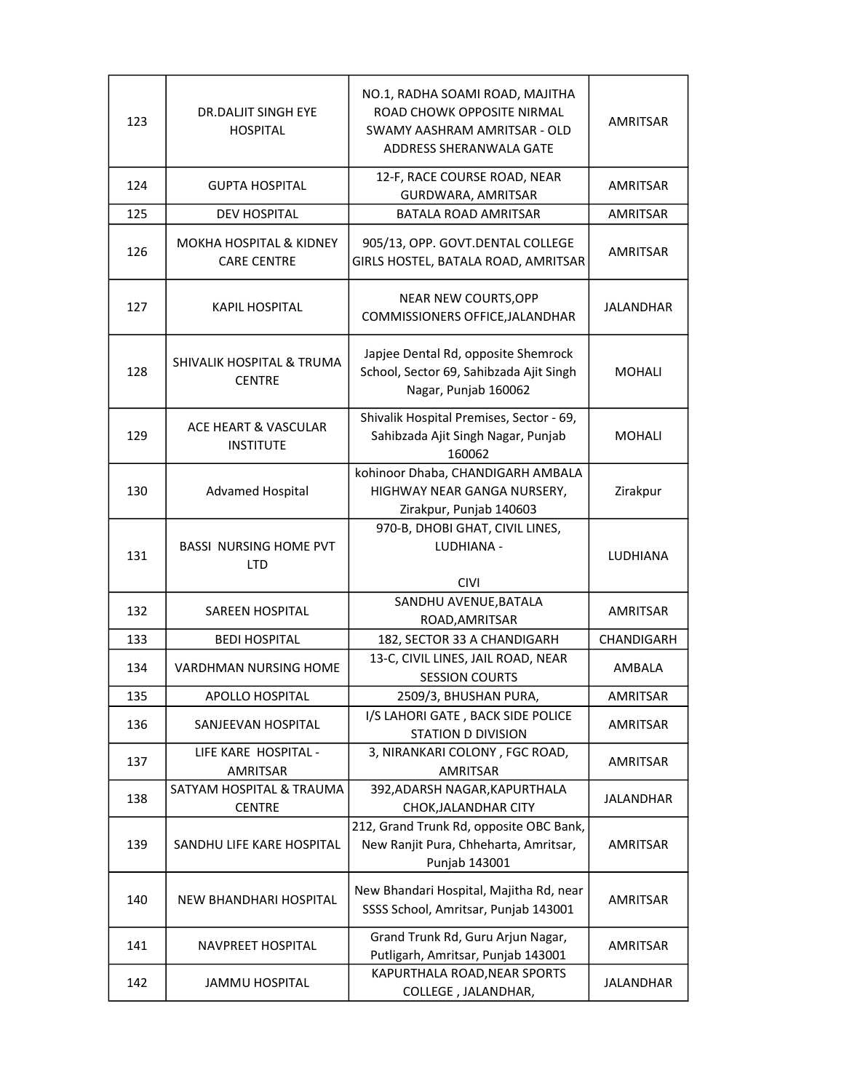| 123 | DR.DALJIT SINGH EYE<br><b>HOSPITAL</b>                   | NO.1, RADHA SOAMI ROAD, MAJITHA<br>ROAD CHOWK OPPOSITE NIRMAL<br>SWAMY AASHRAM AMRITSAR - OLD<br>ADDRESS SHERANWALA GATE | AMRITSAR         |
|-----|----------------------------------------------------------|--------------------------------------------------------------------------------------------------------------------------|------------------|
| 124 | GUPTA HOSPITAL                                           | 12-F, RACE COURSE ROAD, NEAR<br>GURDWARA, AMRITSAR                                                                       | AMRITSAR         |
| 125 | <b>DEV HOSPITAL</b>                                      | BATALA ROAD AMRITSAR                                                                                                     | AMRITSAR         |
| 126 | <b>MOKHA HOSPITAL &amp; KIDNEY</b><br><b>CARE CENTRE</b> | 905/13, OPP. GOVT.DENTAL COLLEGE<br>GIRLS HOSTEL, BATALA ROAD, AMRITSAR                                                  | AMRITSAR         |
| 127 | <b>KAPIL HOSPITAL</b>                                    | <b>NEAR NEW COURTS, OPP</b><br>COMMISSIONERS OFFICE, JALANDHAR                                                           | <b>JALANDHAR</b> |
| 128 | SHIVALIK HOSPITAL & TRUMA<br><b>CENTRE</b>               | Japjee Dental Rd, opposite Shemrock<br>School, Sector 69, Sahibzada Ajit Singh<br>Nagar, Punjab 160062                   | <b>MOHALI</b>    |
| 129 | ACE HEART & VASCULAR<br><b>INSTITUTE</b>                 | Shivalik Hospital Premises, Sector - 69,<br>Sahibzada Ajit Singh Nagar, Punjab<br>160062                                 | <b>MOHALI</b>    |
| 130 | <b>Advamed Hospital</b>                                  | kohinoor Dhaba, CHANDIGARH AMBALA<br>HIGHWAY NEAR GANGA NURSERY,<br>Zirakpur, Punjab 140603                              | Zirakpur         |
| 131 | <b>BASSI NURSING HOME PVT</b><br><b>LTD</b>              | 970-B, DHOBI GHAT, CIVIL LINES,<br>LUDHIANA -<br><b>CIVI</b>                                                             | LUDHIANA         |
| 132 | SAREEN HOSPITAL                                          | SANDHU AVENUE, BATALA<br>ROAD, AMRITSAR                                                                                  | AMRITSAR         |
| 133 | <b>BEDI HOSPITAL</b>                                     | 182, SECTOR 33 A CHANDIGARH                                                                                              | CHANDIGARH       |
| 134 | VARDHMAN NURSING HOME                                    | 13-C, CIVIL LINES, JAIL ROAD, NEAR<br><b>SESSION COURTS</b>                                                              | AMBALA           |
| 135 | APOLLO HOSPITAL                                          | 2509/3, BHUSHAN PURA,                                                                                                    | AMRITSAR         |
| 136 | SANJEEVAN HOSPITAL                                       | I/S LAHORI GATE, BACK SIDE POLICE<br><b>STATION D DIVISION</b>                                                           | AMRITSAR         |
| 137 | LIFE KARE HOSPITAL -<br>AMRITSAR                         | 3, NIRANKARI COLONY, FGC ROAD,<br>AMRITSAR                                                                               | <b>AMRITSAR</b>  |
| 138 | SATYAM HOSPITAL & TRAUMA<br><b>CENTRE</b>                | 392, ADARSH NAGAR, KAPURTHALA<br>CHOK, JALANDHAR CITY                                                                    | <b>JALANDHAR</b> |
| 139 | SANDHU LIFE KARE HOSPITAL                                | 212, Grand Trunk Rd, opposite OBC Bank,<br>New Ranjit Pura, Chheharta, Amritsar,<br>Punjab 143001                        | AMRITSAR         |
| 140 | NEW BHANDHARI HOSPITAL                                   | New Bhandari Hospital, Majitha Rd, near<br>SSSS School, Amritsar, Punjab 143001                                          | AMRITSAR         |
| 141 | NAVPREET HOSPITAL                                        | Grand Trunk Rd, Guru Arjun Nagar,<br>Putligarh, Amritsar, Punjab 143001                                                  | AMRITSAR         |
| 142 | JAMMU HOSPITAL                                           | KAPURTHALA ROAD, NEAR SPORTS<br>COLLEGE, JALANDHAR,                                                                      | JALANDHAR        |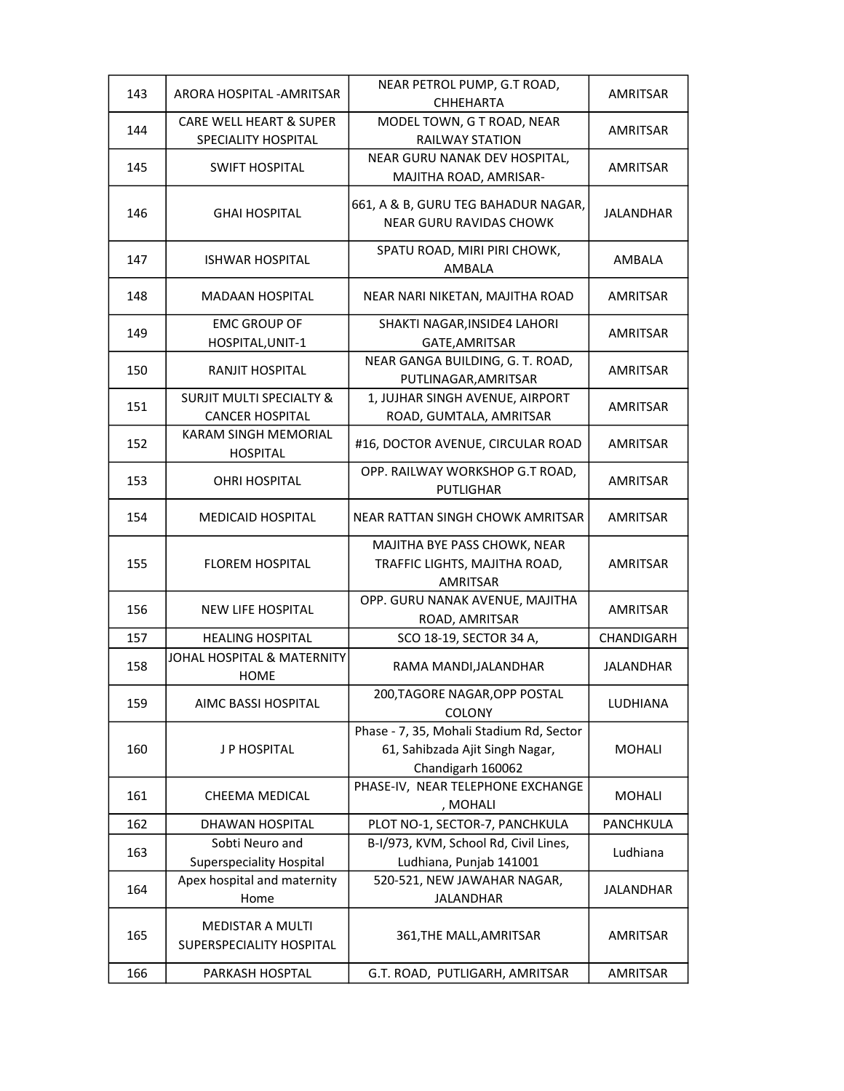| 143 | ARORA HOSPITAL - AMRITSAR                                     | NEAR PETROL PUMP, G.T ROAD,<br><b>CHHEHARTA</b>                                                  | AMRITSAR         |
|-----|---------------------------------------------------------------|--------------------------------------------------------------------------------------------------|------------------|
| 144 | <b>CARE WELL HEART &amp; SUPER</b><br>SPECIALITY HOSPITAL     | MODEL TOWN, G T ROAD, NEAR<br><b>RAILWAY STATION</b>                                             | AMRITSAR         |
| 145 | <b>SWIFT HOSPITAL</b>                                         | NEAR GURU NANAK DEV HOSPITAL,<br>MAJITHA ROAD, AMRISAR-                                          | AMRITSAR         |
| 146 | <b>GHAI HOSPITAL</b>                                          | 661, A & B, GURU TEG BAHADUR NAGAR,<br><b>NEAR GURU RAVIDAS CHOWK</b>                            | JALANDHAR        |
| 147 | <b>ISHWAR HOSPITAL</b>                                        | SPATU ROAD, MIRI PIRI CHOWK,<br>AMBALA                                                           | AMBALA           |
| 148 | <b>MADAAN HOSPITAL</b>                                        | NEAR NARI NIKETAN, MAJITHA ROAD                                                                  | AMRITSAR         |
| 149 | <b>EMC GROUP OF</b><br>HOSPITAL, UNIT-1                       | SHAKTI NAGAR, INSIDE4 LAHORI<br>GATE, AMRITSAR                                                   | AMRITSAR         |
| 150 | RANJIT HOSPITAL                                               | NEAR GANGA BUILDING, G. T. ROAD,<br>PUTLINAGAR, AMRITSAR                                         | AMRITSAR         |
| 151 | <b>SURJIT MULTI SPECIALTY &amp;</b><br><b>CANCER HOSPITAL</b> | 1, JUJHAR SINGH AVENUE, AIRPORT<br>ROAD, GUMTALA, AMRITSAR                                       | AMRITSAR         |
| 152 | KARAM SINGH MEMORIAL<br><b>HOSPITAL</b>                       | #16, DOCTOR AVENUE, CIRCULAR ROAD                                                                | <b>AMRITSAR</b>  |
| 153 | <b>OHRI HOSPITAL</b>                                          | OPP. RAILWAY WORKSHOP G.T ROAD,<br><b>PUTLIGHAR</b>                                              | AMRITSAR         |
| 154 | <b>MEDICAID HOSPITAL</b>                                      | NEAR RATTAN SINGH CHOWK AMRITSAR                                                                 | AMRITSAR         |
| 155 | <b>FLOREM HOSPITAL</b>                                        | MAJITHA BYE PASS CHOWK, NEAR<br>TRAFFIC LIGHTS, MAJITHA ROAD,<br><b>AMRITSAR</b>                 | AMRITSAR         |
| 156 | <b>NEW LIFE HOSPITAL</b>                                      | OPP. GURU NANAK AVENUE, MAJITHA<br>ROAD, AMRITSAR                                                | AMRITSAR         |
| 157 | <b>HEALING HOSPITAL</b>                                       | SCO 18-19, SECTOR 34 A,                                                                          | CHANDIGARH       |
| 158 | JOHAL HOSPITAL & MATERNITY<br><b>HOME</b>                     | RAMA MANDI, JALANDHAR                                                                            | <b>JALANDHAR</b> |
| 159 | AIMC BASSI HOSPITAL                                           | 200,TAGORE NAGAR,OPP POSTAL<br>COLONY                                                            | LUDHIANA         |
| 160 | J P HOSPITAL                                                  | Phase - 7, 35, Mohali Stadium Rd, Sector<br>61, Sahibzada Ajit Singh Nagar,<br>Chandigarh 160062 | <b>MOHALI</b>    |
| 161 | CHEEMA MEDICAL                                                | PHASE-IV, NEAR TELEPHONE EXCHANGE<br>, MOHALI                                                    | <b>MOHALI</b>    |
| 162 | DHAWAN HOSPITAL                                               | PLOT NO-1, SECTOR-7, PANCHKULA                                                                   | PANCHKULA        |
| 163 | Sobti Neuro and<br><b>Superspeciality Hospital</b>            | B-I/973, KVM, School Rd, Civil Lines,<br>Ludhiana, Punjab 141001                                 | Ludhiana         |
| 164 | Apex hospital and maternity<br>Home                           | 520-521, NEW JAWAHAR NAGAR,<br><b>JALANDHAR</b>                                                  | <b>JALANDHAR</b> |
| 165 | <b>MEDISTAR A MULTI</b><br>SUPERSPECIALITY HOSPITAL           | 361, THE MALL, AMRITSAR                                                                          | AMRITSAR         |
| 166 | PARKASH HOSPTAL                                               | G.T. ROAD, PUTLIGARH, AMRITSAR                                                                   | AMRITSAR         |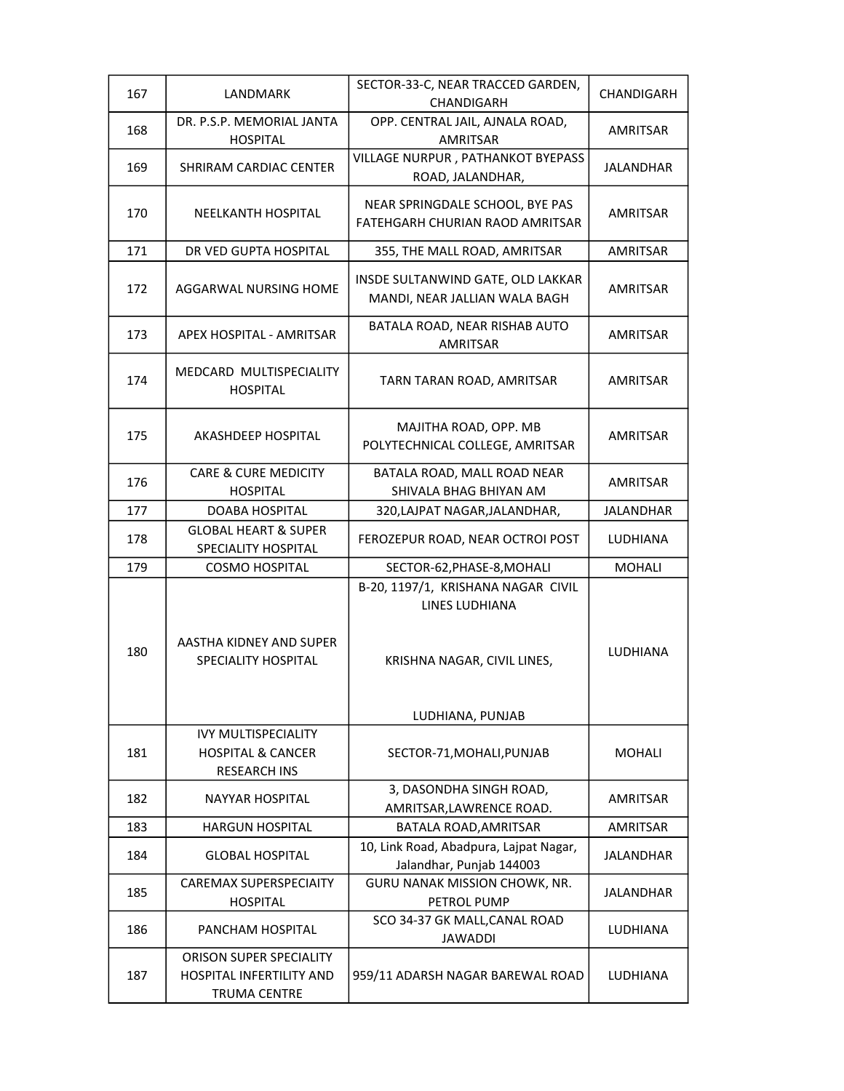| 167 | LANDMARK                                                                                 | SECTOR-33-C, NEAR TRACCED GARDEN,<br>CHANDIGARH                    | CHANDIGARH       |
|-----|------------------------------------------------------------------------------------------|--------------------------------------------------------------------|------------------|
| 168 | DR. P.S.P. MEMORIAL JANTA<br><b>HOSPITAL</b>                                             | OPP. CENTRAL JAIL, AJNALA ROAD,<br><b>AMRITSAR</b>                 | AMRITSAR         |
| 169 | <b>SHRIRAM CARDIAC CENTER</b>                                                            | VILLAGE NURPUR, PATHANKOT BYEPASS<br>ROAD, JALANDHAR,              | <b>JALANDHAR</b> |
| 170 | NEELKANTH HOSPITAL                                                                       | NEAR SPRINGDALE SCHOOL, BYE PAS<br>FATEHGARH CHURIAN RAOD AMRITSAR | AMRITSAR         |
| 171 | DR VED GUPTA HOSPITAL                                                                    | 355, THE MALL ROAD, AMRITSAR                                       | <b>AMRITSAR</b>  |
| 172 | AGGARWAL NURSING HOME                                                                    | INSDE SULTANWIND GATE, OLD LAKKAR<br>MANDI, NEAR JALLIAN WALA BAGH | AMRITSAR         |
| 173 | <b>APEX HOSPITAL - AMRITSAR</b>                                                          | BATALA ROAD, NEAR RISHAB AUTO<br><b>AMRITSAR</b>                   | AMRITSAR         |
| 174 | MEDCARD MULTISPECIALITY<br><b>HOSPITAL</b>                                               | TARN TARAN ROAD, AMRITSAR                                          | <b>AMRITSAR</b>  |
| 175 | AKASHDEEP HOSPITAL                                                                       | MAJITHA ROAD, OPP. MB<br>POLYTECHNICAL COLLEGE, AMRITSAR           | AMRITSAR         |
| 176 | <b>CARE &amp; CURE MEDICITY</b><br><b>HOSPITAL</b>                                       | BATALA ROAD, MALL ROAD NEAR<br>SHIVALA BHAG BHIYAN AM              | AMRITSAR         |
| 177 | DOABA HOSPITAL                                                                           | 320, LAJPAT NAGAR, JALANDHAR,                                      | <b>JALANDHAR</b> |
| 178 | <b>GLOBAL HEART &amp; SUPER</b><br>SPECIALITY HOSPITAL                                   | FEROZEPUR ROAD, NEAR OCTROI POST                                   | <b>LUDHIANA</b>  |
| 179 | <b>COSMO HOSPITAL</b>                                                                    | SECTOR-62, PHASE-8, MOHALI                                         | <b>MOHALI</b>    |
|     |                                                                                          | B-20, 1197/1, KRISHANA NAGAR CIVIL<br>LINES LUDHIANA               |                  |
| 180 | AASTHA KIDNEY AND SUPER<br>SPECIALITY HOSPITAL                                           | KRISHNA NAGAR, CIVIL LINES,                                        | LUDHIANA         |
|     |                                                                                          | LUDHIANA, PUNJAB                                                   |                  |
| 181 | <b>IVY MULTISPECIALITY</b><br><b>HOSPITAL &amp; CANCER</b><br><b>RESEARCH INS</b>        | SECTOR-71, MOHALI, PUNJAB                                          | <b>MOHALI</b>    |
| 182 | <b>NAYYAR HOSPITAL</b>                                                                   | 3, DASONDHA SINGH ROAD,<br>AMRITSAR, LAWRENCE ROAD.                | AMRITSAR         |
| 183 | <b>HARGUN HOSPITAL</b>                                                                   | BATALA ROAD, AMRITSAR                                              | AMRITSAR         |
| 184 | <b>GLOBAL HOSPITAL</b>                                                                   | 10, Link Road, Abadpura, Lajpat Nagar,<br>Jalandhar, Punjab 144003 | <b>JALANDHAR</b> |
| 185 | CAREMAX SUPERSPECIAITY<br><b>HOSPITAL</b>                                                | <b>GURU NANAK MISSION CHOWK, NR.</b><br>PETROL PUMP                | <b>JALANDHAR</b> |
| 186 | PANCHAM HOSPITAL                                                                         | SCO 34-37 GK MALL, CANAL ROAD<br><b>JAWADDI</b>                    | LUDHIANA         |
| 187 | <b>ORISON SUPER SPECIALITY</b><br><b>HOSPITAL INFERTILITY AND</b><br><b>TRUMA CENTRE</b> | 959/11 ADARSH NAGAR BAREWAL ROAD                                   | LUDHIANA         |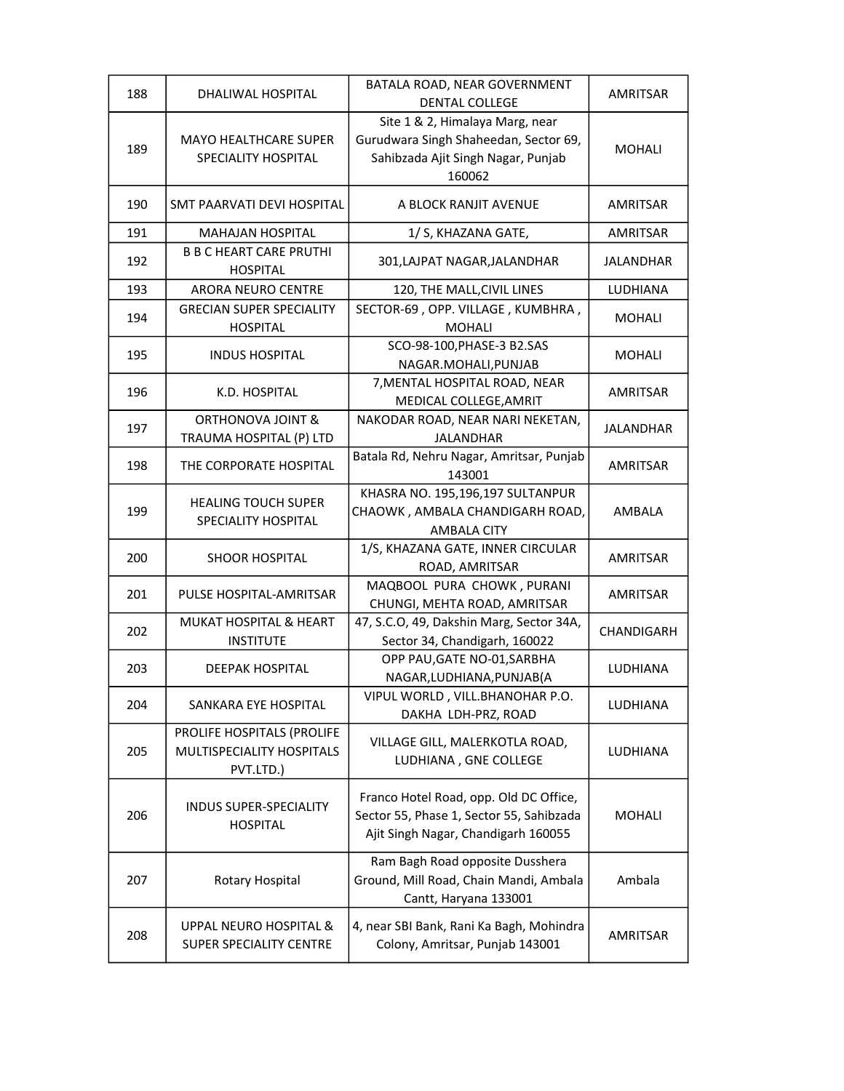| 188 | DHALIWAL HOSPITAL                                                    | BATALA ROAD, NEAR GOVERNMENT<br><b>DENTAL COLLEGE</b>                                                                     | AMRITSAR         |
|-----|----------------------------------------------------------------------|---------------------------------------------------------------------------------------------------------------------------|------------------|
| 189 | <b>MAYO HEALTHCARE SUPER</b><br>SPECIALITY HOSPITAL                  | Site 1 & 2, Himalaya Marg, near<br>Gurudwara Singh Shaheedan, Sector 69,<br>Sahibzada Ajit Singh Nagar, Punjab<br>160062  | MOHALI           |
| 190 | SMT PAARVATI DEVI HOSPITAL                                           | A BLOCK RANJIT AVENUE                                                                                                     | AMRITSAR         |
| 191 | <b>MAHAJAN HOSPITAL</b>                                              | 1/ S, KHAZANA GATE,                                                                                                       | <b>AMRITSAR</b>  |
| 192 | <b>B B C HEART CARE PRUTHI</b><br><b>HOSPITAL</b>                    | 301, LAJPAT NAGAR, JALANDHAR                                                                                              | <b>JALANDHAR</b> |
| 193 | <b>ARORA NEURO CENTRE</b>                                            | 120, THE MALL, CIVIL LINES                                                                                                | <b>LUDHIANA</b>  |
| 194 | <b>GRECIAN SUPER SPECIALITY</b><br><b>HOSPITAL</b>                   | SECTOR-69, OPP. VILLAGE, KUMBHRA,<br><b>MOHALI</b>                                                                        | MOHALI           |
| 195 | <b>INDUS HOSPITAL</b>                                                | SCO-98-100, PHASE-3 B2.SAS<br>NAGAR.MOHALI, PUNJAB                                                                        | <b>MOHALI</b>    |
| 196 | K.D. HOSPITAL                                                        | 7, MENTAL HOSPITAL ROAD, NEAR<br>MEDICAL COLLEGE, AMRIT                                                                   | <b>AMRITSAR</b>  |
| 197 | <b>ORTHONOVA JOINT &amp;</b><br>TRAUMA HOSPITAL (P) LTD              | NAKODAR ROAD, NEAR NARI NEKETAN,<br><b>JALANDHAR</b>                                                                      | JALANDHAR        |
| 198 | THE CORPORATE HOSPITAL                                               | Batala Rd, Nehru Nagar, Amritsar, Punjab<br>143001                                                                        | <b>AMRITSAR</b>  |
| 199 | <b>HEALING TOUCH SUPER</b><br>SPECIALITY HOSPITAL                    | KHASRA NO. 195,196,197 SULTANPUR<br>CHAOWK, AMBALA CHANDIGARH ROAD,<br><b>AMBALA CITY</b>                                 | AMBALA           |
| 200 | <b>SHOOR HOSPITAL</b>                                                | 1/S, KHAZANA GATE, INNER CIRCULAR<br>ROAD, AMRITSAR                                                                       | AMRITSAR         |
| 201 | PULSE HOSPITAL-AMRITSAR                                              | MAQBOOL PURA CHOWK, PURANI<br>CHUNGI, MEHTA ROAD, AMRITSAR                                                                | AMRITSAR         |
| 202 | MUKAT HOSPITAL & HEART<br><b>INSTITUTE</b>                           | 47, S.C.O, 49, Dakshin Marg, Sector 34A,<br>Sector 34, Chandigarh, 160022                                                 | CHANDIGARH       |
| 203 | <b>DEEPAK HOSPITAL</b>                                               | OPP PAU, GATE NO-01, SARBHA<br>NAGAR, LUDHIANA, PUNJAB (A                                                                 | LUDHIANA         |
| 204 | SANKARA EYE HOSPITAL                                                 | VIPUL WORLD, VILL.BHANOHAR P.O.<br>DAKHA LDH-PRZ, ROAD                                                                    | LUDHIANA         |
| 205 | PROLIFE HOSPITALS (PROLIFE<br>MULTISPECIALITY HOSPITALS<br>PVT.LTD.) | VILLAGE GILL, MALERKOTLA ROAD,<br>LUDHIANA, GNE COLLEGE                                                                   | LUDHIANA         |
| 206 | <b>INDUS SUPER-SPECIALITY</b><br><b>HOSPITAL</b>                     | Franco Hotel Road, opp. Old DC Office,<br>Sector 55, Phase 1, Sector 55, Sahibzada<br>Ajit Singh Nagar, Chandigarh 160055 | <b>MOHALI</b>    |
| 207 | Rotary Hospital                                                      | Ram Bagh Road opposite Dusshera<br>Ground, Mill Road, Chain Mandi, Ambala<br>Cantt, Haryana 133001                        | Ambala           |
| 208 | UPPAL NEURO HOSPITAL &<br>SUPER SPECIALITY CENTRE                    | 4, near SBI Bank, Rani Ka Bagh, Mohindra<br>Colony, Amritsar, Punjab 143001                                               | AMRITSAR         |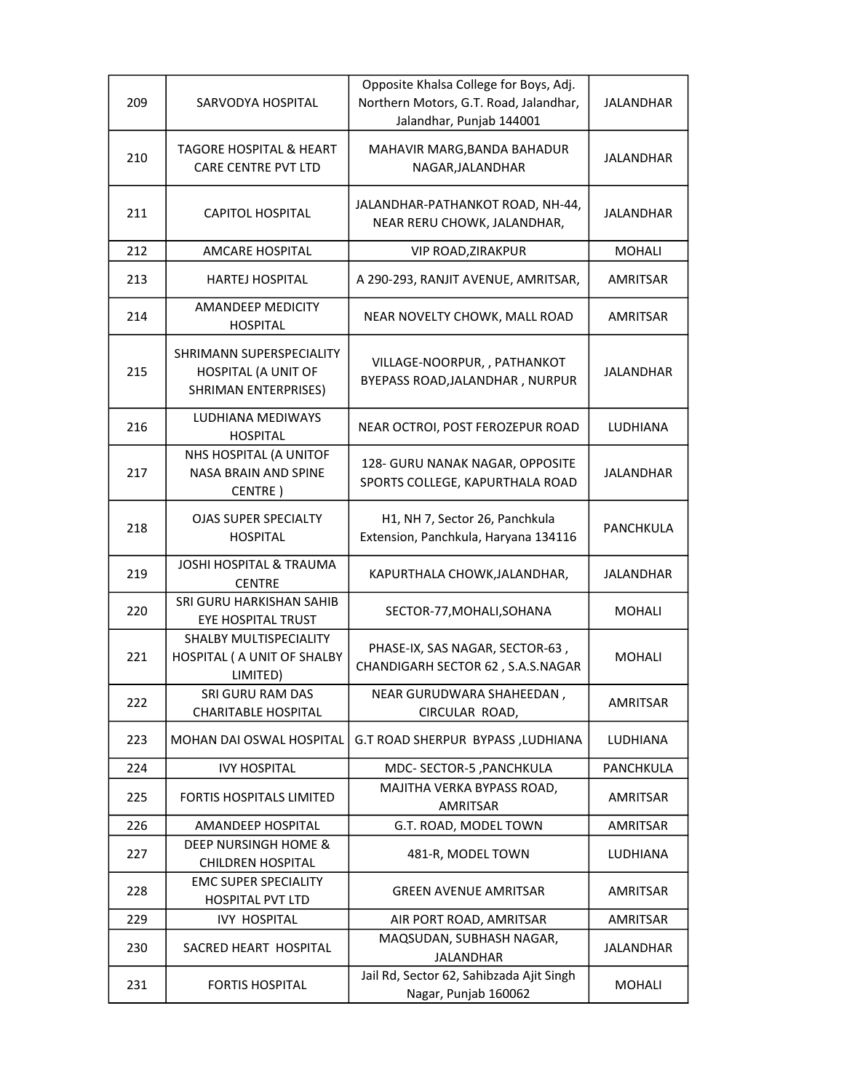| 209 | SARVODYA HOSPITAL                                                       | Opposite Khalsa College for Boys, Adj.<br>Northern Motors, G.T. Road, Jalandhar,<br>Jalandhar, Punjab 144001 | <b>JALANDHAR</b> |
|-----|-------------------------------------------------------------------------|--------------------------------------------------------------------------------------------------------------|------------------|
| 210 | TAGORE HOSPITAL & HEART<br>CARE CENTRE PVT LTD                          | MAHAVIR MARG, BANDA BAHADUR<br>NAGAR, JALANDHAR                                                              | <b>JALANDHAR</b> |
| 211 | CAPITOL HOSPITAL                                                        | JALANDHAR-PATHANKOT ROAD, NH-44,<br>NEAR RERU CHOWK, JALANDHAR,                                              | <b>JALANDHAR</b> |
| 212 | <b>AMCARE HOSPITAL</b>                                                  | <b>VIP ROAD, ZIRAKPUR</b>                                                                                    | <b>MOHALI</b>    |
| 213 | HARTEJ HOSPITAL                                                         | A 290-293, RANJIT AVENUE, AMRITSAR,                                                                          | AMRITSAR         |
| 214 | AMANDEEP MEDICITY<br><b>HOSPITAL</b>                                    | NEAR NOVELTY CHOWK, MALL ROAD                                                                                | AMRITSAR         |
| 215 | SHRIMANN SUPERSPECIALITY<br>HOSPITAL (A UNIT OF<br>SHRIMAN ENTERPRISES) | VILLAGE-NOORPUR, , PATHANKOT<br>BYEPASS ROAD, JALANDHAR, NURPUR                                              | <b>JALANDHAR</b> |
| 216 | LUDHIANA MEDIWAYS<br><b>HOSPITAL</b>                                    | NEAR OCTROI, POST FEROZEPUR ROAD                                                                             | <b>LUDHIANA</b>  |
| 217 | NHS HOSPITAL (A UNITOF<br><b>NASA BRAIN AND SPINE</b><br>CENTRE)        | 128- GURU NANAK NAGAR, OPPOSITE<br>SPORTS COLLEGE, KAPURTHALA ROAD                                           | <b>JALANDHAR</b> |
| 218 | <b>OJAS SUPER SPECIALTY</b><br><b>HOSPITAL</b>                          | H1, NH 7, Sector 26, Panchkula<br>Extension, Panchkula, Haryana 134116                                       | PANCHKULA        |
| 219 | <b>JOSHI HOSPITAL &amp; TRAUMA</b><br><b>CENTRE</b>                     | KAPURTHALA CHOWK, JALANDHAR,                                                                                 | JALANDHAR        |
| 220 | SRI GURU HARKISHAN SAHIB<br><b>EYE HOSPITAL TRUST</b>                   | SECTOR-77, MOHALI, SOHANA                                                                                    | <b>MOHALI</b>    |
| 221 | SHALBY MULTISPECIALITY<br>HOSPITAL ( A UNIT OF SHALBY<br>LIMITED)       | PHASE-IX, SAS NAGAR, SECTOR-63,<br>CHANDIGARH SECTOR 62, S.A.S.NAGAR                                         | MOHALI           |
| 222 | SRI GURU RAM DAS<br><b>CHARITABLE HOSPITAL</b>                          | NEAR GURUDWARA SHAHEEDAN,<br>CIRCULAR ROAD,                                                                  | AMRITSAR         |
| 223 | <b>MOHAN DAI OSWAL HOSPITAL</b>                                         | G.T ROAD SHERPUR BYPASS, LUDHIANA                                                                            | LUDHIANA         |
| 224 | <b>IVY HOSPITAL</b>                                                     | MDC- SECTOR-5, PANCHKULA                                                                                     | PANCHKULA        |
| 225 | <b>FORTIS HOSPITALS LIMITED</b>                                         | MAJITHA VERKA BYPASS ROAD,<br>AMRITSAR                                                                       | AMRITSAR         |
| 226 | AMANDEEP HOSPITAL                                                       | G.T. ROAD, MODEL TOWN                                                                                        | <b>AMRITSAR</b>  |
| 227 | DEEP NURSINGH HOME &<br><b>CHILDREN HOSPITAL</b>                        | 481-R, MODEL TOWN                                                                                            | LUDHIANA         |
| 228 | <b>EMC SUPER SPECIALITY</b><br><b>HOSPITAL PVT LTD</b>                  | <b>GREEN AVENUE AMRITSAR</b>                                                                                 | AMRITSAR         |
| 229 | <b>IVY HOSPITAL</b>                                                     | AIR PORT ROAD, AMRITSAR                                                                                      | <b>AMRITSAR</b>  |
| 230 | SACRED HEART HOSPITAL                                                   | MAQSUDAN, SUBHASH NAGAR,<br><b>JALANDHAR</b>                                                                 | <b>JALANDHAR</b> |
| 231 | <b>FORTIS HOSPITAL</b>                                                  | Jail Rd, Sector 62, Sahibzada Ajit Singh<br>Nagar, Punjab 160062                                             | MOHALI           |